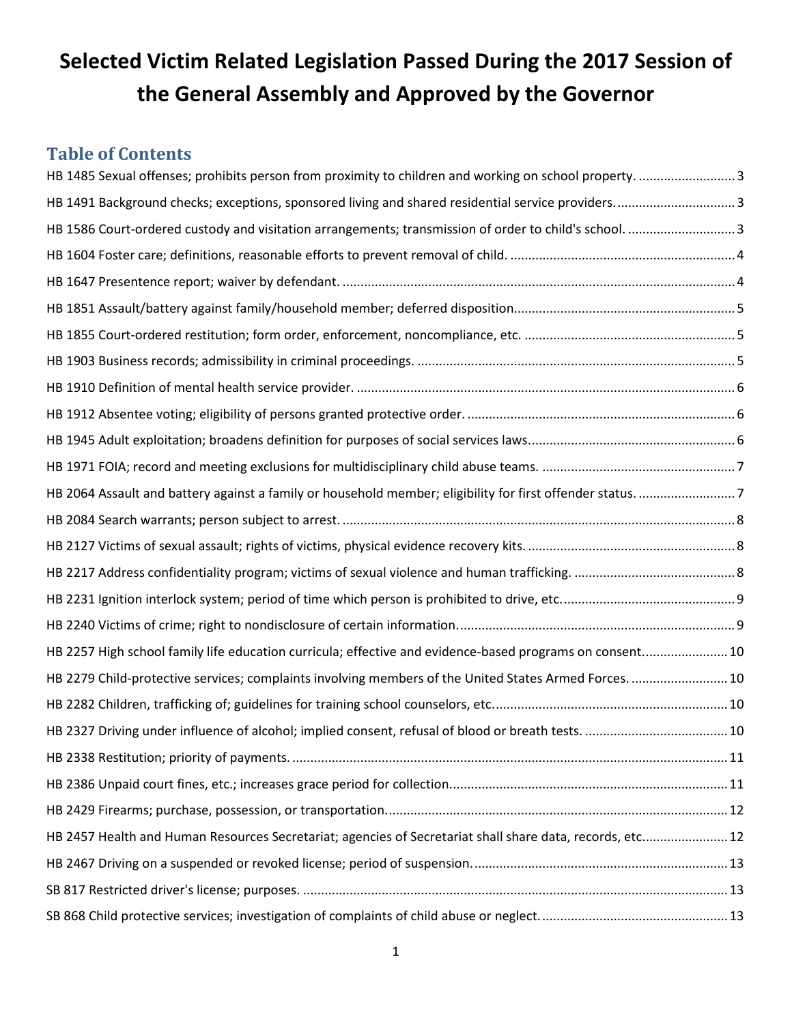# **Selected Victim Related Legislation Passed During the 2017 Session of the General Assembly and Approved by the Governor**

## **Table of Contents**

| HB 1485 Sexual offenses; prohibits person from proximity to children and working on school property. 3    |  |
|-----------------------------------------------------------------------------------------------------------|--|
| HB 1491 Background checks; exceptions, sponsored living and shared residential service providers3         |  |
| HB 1586 Court-ordered custody and visitation arrangements; transmission of order to child's school.  3    |  |
|                                                                                                           |  |
|                                                                                                           |  |
|                                                                                                           |  |
|                                                                                                           |  |
|                                                                                                           |  |
|                                                                                                           |  |
|                                                                                                           |  |
|                                                                                                           |  |
|                                                                                                           |  |
|                                                                                                           |  |
|                                                                                                           |  |
|                                                                                                           |  |
|                                                                                                           |  |
|                                                                                                           |  |
|                                                                                                           |  |
| HB 2257 High school family life education curricula; effective and evidence-based programs on consent 10  |  |
| HB 2279 Child-protective services; complaints involving members of the United States Armed Forces.  10    |  |
|                                                                                                           |  |
|                                                                                                           |  |
|                                                                                                           |  |
|                                                                                                           |  |
|                                                                                                           |  |
| HB 2457 Health and Human Resources Secretariat; agencies of Secretariat shall share data, records, etc 12 |  |
|                                                                                                           |  |
|                                                                                                           |  |
|                                                                                                           |  |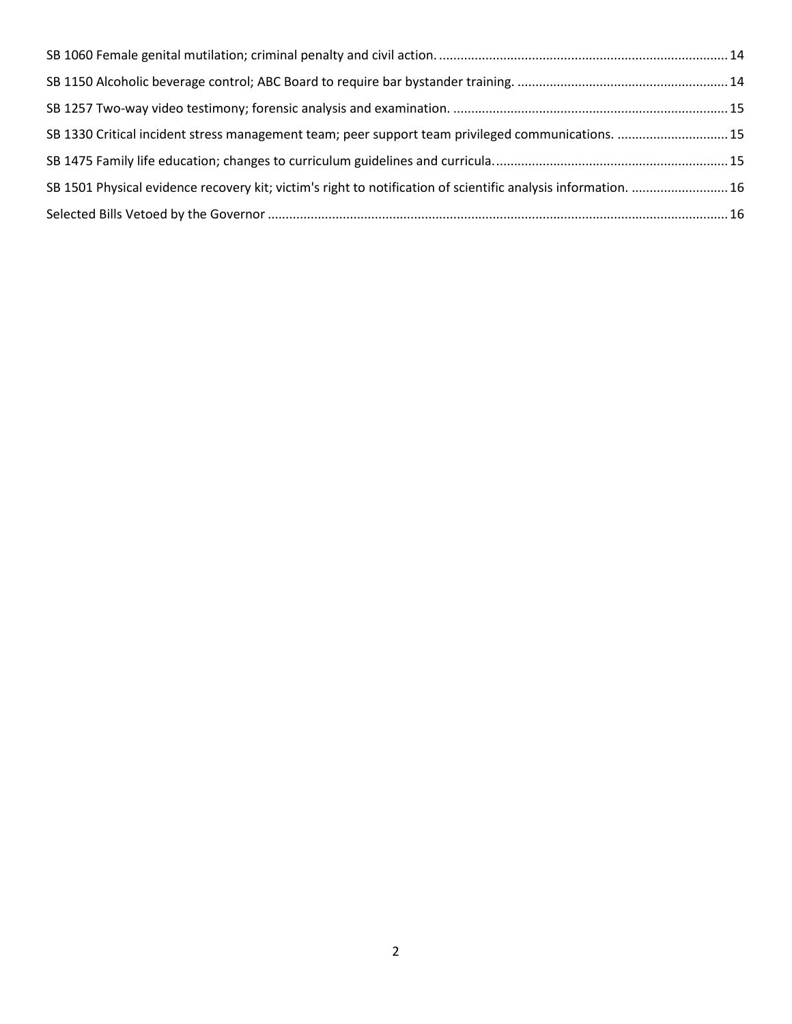| SB 1330 Critical incident stress management team; peer support team privileged communications.  15             |  |
|----------------------------------------------------------------------------------------------------------------|--|
|                                                                                                                |  |
| SB 1501 Physical evidence recovery kit; victim's right to notification of scientific analysis information.  16 |  |
|                                                                                                                |  |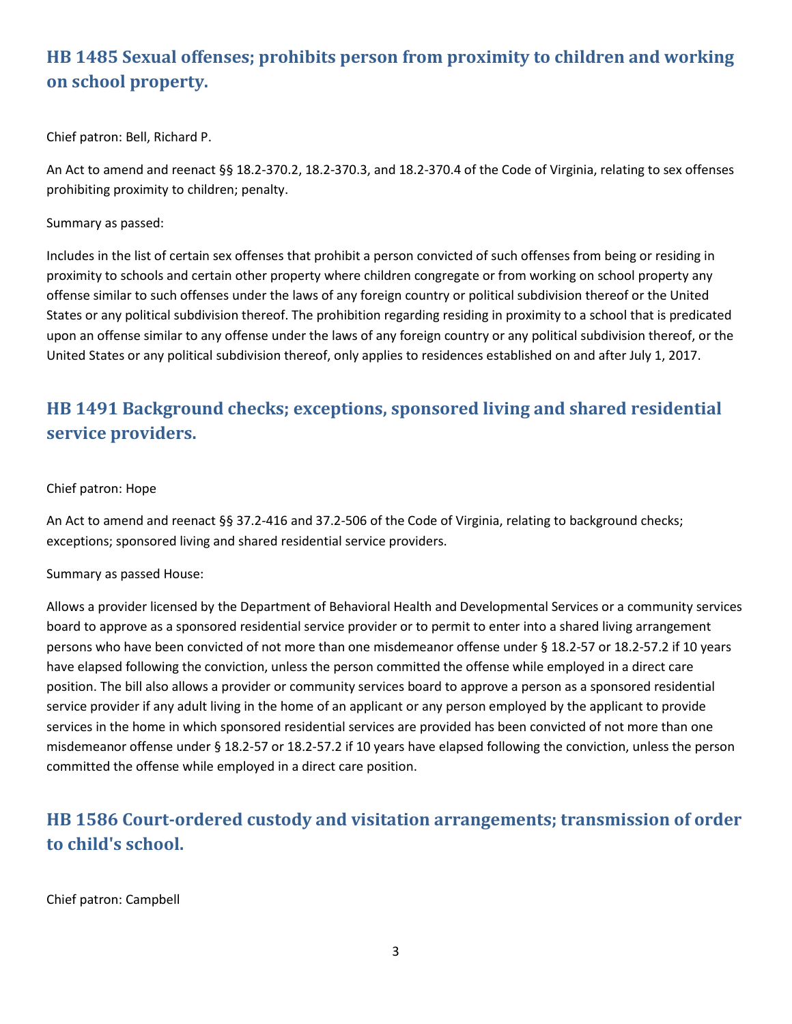## <span id="page-2-0"></span>**HB 1485 Sexual offenses; prohibits person from proximity to children and working on school property.**

Chief patron: Bell, Richard P.

An Act to amend and reenact §§ 18.2-370.2, 18.2-370.3, and 18.2-370.4 of the Code of Virginia, relating to sex offenses prohibiting proximity to children; penalty.

Summary as passed:

Includes in the list of certain sex offenses that prohibit a person convicted of such offenses from being or residing in proximity to schools and certain other property where children congregate or from working on school property any offense similar to such offenses under the laws of any foreign country or political subdivision thereof or the United States or any political subdivision thereof. The prohibition regarding residing in proximity to a school that is predicated upon an offense similar to any offense under the laws of any foreign country or any political subdivision thereof, or the United States or any political subdivision thereof, only applies to residences established on and after July 1, 2017.

## <span id="page-2-1"></span>**HB 1491 Background checks; exceptions, sponsored living and shared residential service providers.**

### Chief patron: Hope

An Act to amend and reenact §§ 37.2-416 and 37.2-506 of the Code of Virginia, relating to background checks; exceptions; sponsored living and shared residential service providers.

Summary as passed House:

Allows a provider licensed by the Department of Behavioral Health and Developmental Services or a community services board to approve as a sponsored residential service provider or to permit to enter into a shared living arrangement persons who have been convicted of not more than one misdemeanor offense under § 18.2-57 or 18.2-57.2 if 10 years have elapsed following the conviction, unless the person committed the offense while employed in a direct care position. The bill also allows a provider or community services board to approve a person as a sponsored residential service provider if any adult living in the home of an applicant or any person employed by the applicant to provide services in the home in which sponsored residential services are provided has been convicted of not more than one misdemeanor offense under § 18.2-57 or 18.2-57.2 if 10 years have elapsed following the conviction, unless the person committed the offense while employed in a direct care position.

## <span id="page-2-2"></span>**HB 1586 Court-ordered custody and visitation arrangements; transmission of order to child's school.**

Chief patron: Campbell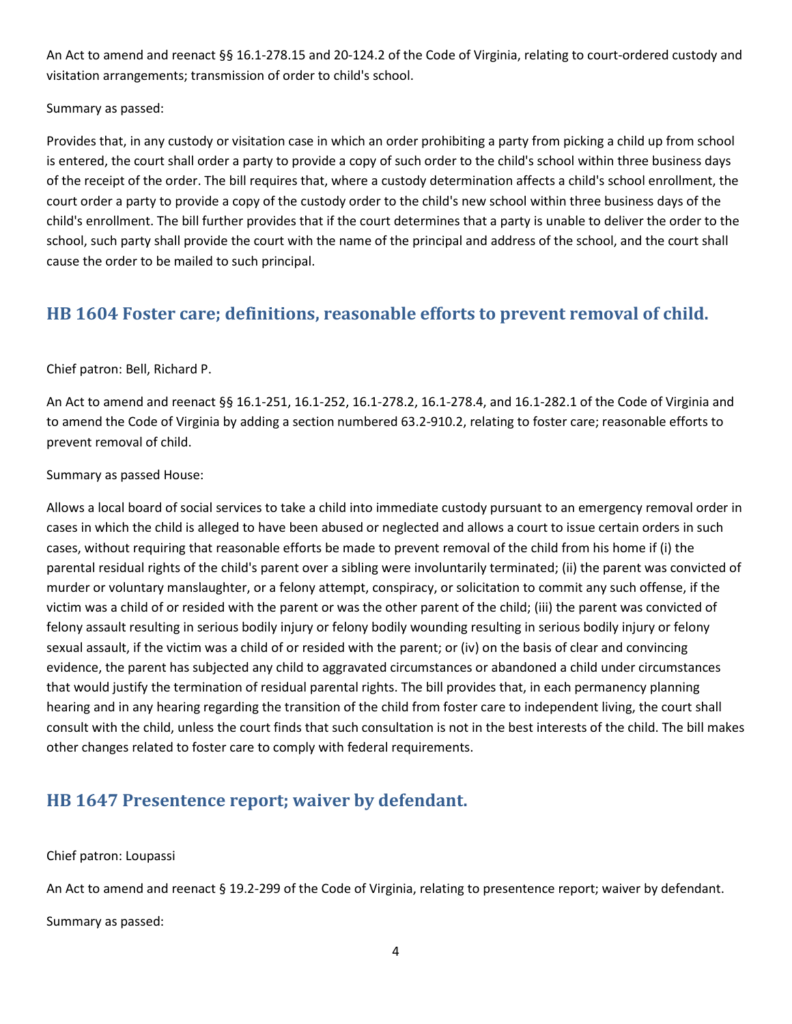An Act to amend and reenact §§ 16.1-278.15 and 20-124.2 of the Code of Virginia, relating to court-ordered custody and visitation arrangements; transmission of order to child's school.

Summary as passed:

Provides that, in any custody or visitation case in which an order prohibiting a party from picking a child up from school is entered, the court shall order a party to provide a copy of such order to the child's school within three business days of the receipt of the order. The bill requires that, where a custody determination affects a child's school enrollment, the court order a party to provide a copy of the custody order to the child's new school within three business days of the child's enrollment. The bill further provides that if the court determines that a party is unable to deliver the order to the school, such party shall provide the court with the name of the principal and address of the school, and the court shall cause the order to be mailed to such principal.

### <span id="page-3-0"></span>**HB 1604 Foster care; definitions, reasonable efforts to prevent removal of child.**

Chief patron: Bell, Richard P.

An Act to amend and reenact §§ 16.1-251, 16.1-252, 16.1-278.2, 16.1-278.4, and 16.1-282.1 of the Code of Virginia and to amend the Code of Virginia by adding a section numbered 63.2-910.2, relating to foster care; reasonable efforts to prevent removal of child.

Summary as passed House:

Allows a local board of social services to take a child into immediate custody pursuant to an emergency removal order in cases in which the child is alleged to have been abused or neglected and allows a court to issue certain orders in such cases, without requiring that reasonable efforts be made to prevent removal of the child from his home if (i) the parental residual rights of the child's parent over a sibling were involuntarily terminated; (ii) the parent was convicted of murder or voluntary manslaughter, or a felony attempt, conspiracy, or solicitation to commit any such offense, if the victim was a child of or resided with the parent or was the other parent of the child; (iii) the parent was convicted of felony assault resulting in serious bodily injury or felony bodily wounding resulting in serious bodily injury or felony sexual assault, if the victim was a child of or resided with the parent; or (iv) on the basis of clear and convincing evidence, the parent has subjected any child to aggravated circumstances or abandoned a child under circumstances that would justify the termination of residual parental rights. The bill provides that, in each permanency planning hearing and in any hearing regarding the transition of the child from foster care to independent living, the court shall consult with the child, unless the court finds that such consultation is not in the best interests of the child. The bill makes other changes related to foster care to comply with federal requirements.

### <span id="page-3-1"></span>**HB 1647 Presentence report; waiver by defendant.**

Chief patron: Loupassi

An Act to amend and reenact § 19.2-299 of the Code of Virginia, relating to presentence report; waiver by defendant.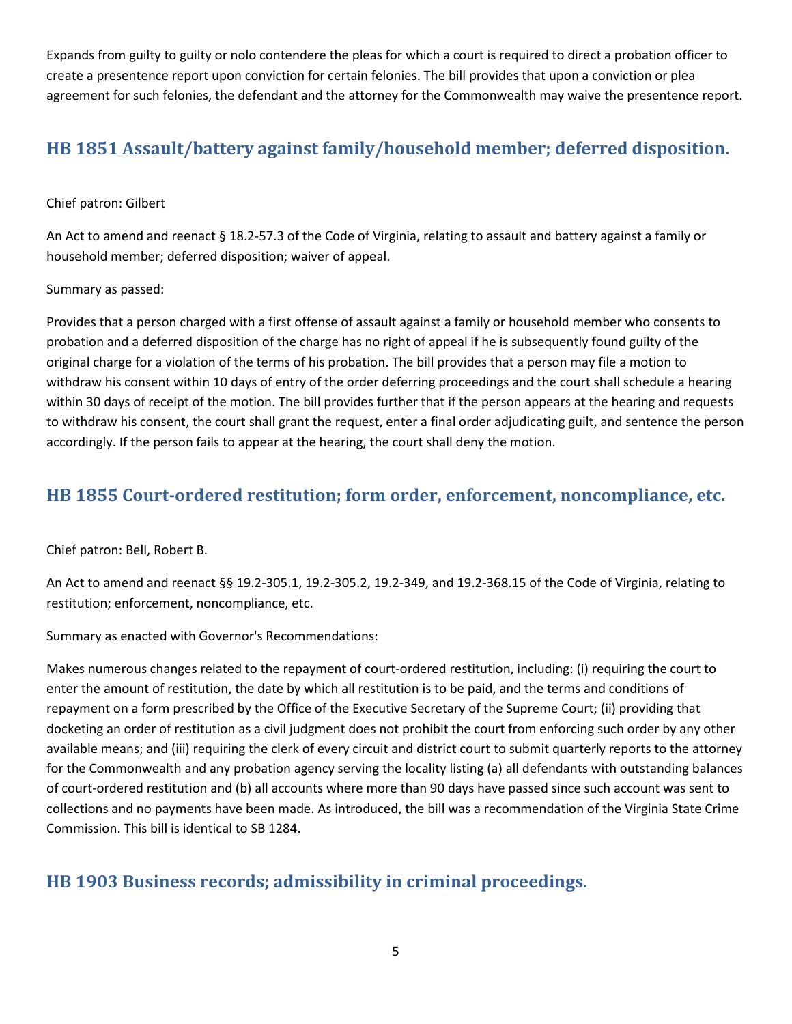Expands from guilty to guilty or nolo contendere the pleas for which a court is required to direct a probation officer to create a presentence report upon conviction for certain felonies. The bill provides that upon a conviction or plea agreement for such felonies, the defendant and the attorney for the Commonwealth may waive the presentence report.

## <span id="page-4-0"></span>**HB 1851 Assault/battery against family/household member; deferred disposition.**

### Chief patron: Gilbert

An Act to amend and reenact § 18.2-57.3 of the Code of Virginia, relating to assault and battery against a family or household member; deferred disposition; waiver of appeal.

### Summary as passed:

Provides that a person charged with a first offense of assault against a family or household member who consents to probation and a deferred disposition of the charge has no right of appeal if he is subsequently found guilty of the original charge for a violation of the terms of his probation. The bill provides that a person may file a motion to withdraw his consent within 10 days of entry of the order deferring proceedings and the court shall schedule a hearing within 30 days of receipt of the motion. The bill provides further that if the person appears at the hearing and requests to withdraw his consent, the court shall grant the request, enter a final order adjudicating guilt, and sentence the person accordingly. If the person fails to appear at the hearing, the court shall deny the motion.

### <span id="page-4-1"></span>**HB 1855 Court-ordered restitution; form order, enforcement, noncompliance, etc.**

Chief patron: Bell, Robert B.

An Act to amend and reenact §§ 19.2-305.1, 19.2-305.2, 19.2-349, and 19.2-368.15 of the Code of Virginia, relating to restitution; enforcement, noncompliance, etc.

Summary as enacted with Governor's Recommendations:

Makes numerous changes related to the repayment of court-ordered restitution, including: (i) requiring the court to enter the amount of restitution, the date by which all restitution is to be paid, and the terms and conditions of repayment on a form prescribed by the Office of the Executive Secretary of the Supreme Court; (ii) providing that docketing an order of restitution as a civil judgment does not prohibit the court from enforcing such order by any other available means; and (iii) requiring the clerk of every circuit and district court to submit quarterly reports to the attorney for the Commonwealth and any probation agency serving the locality listing (a) all defendants with outstanding balances of court-ordered restitution and (b) all accounts where more than 90 days have passed since such account was sent to collections and no payments have been made. As introduced, the bill was a recommendation of the Virginia State Crime Commission. This bill is identical to SB 1284.

### <span id="page-4-2"></span>**HB 1903 Business records; admissibility in criminal proceedings.**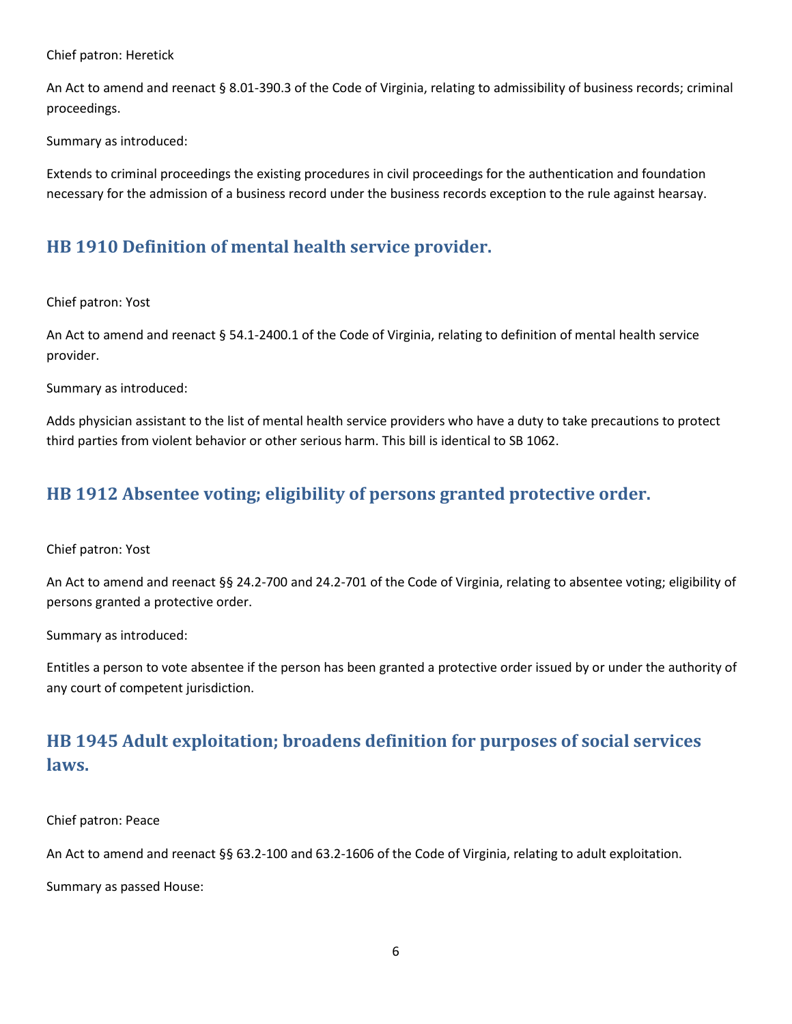Chief patron: Heretick

An Act to amend and reenact § 8.01-390.3 of the Code of Virginia, relating to admissibility of business records; criminal proceedings.

Summary as introduced:

Extends to criminal proceedings the existing procedures in civil proceedings for the authentication and foundation necessary for the admission of a business record under the business records exception to the rule against hearsay.

### <span id="page-5-0"></span>**HB 1910 Definition of mental health service provider.**

Chief patron: Yost

An Act to amend and reenact § 54.1-2400.1 of the Code of Virginia, relating to definition of mental health service provider.

Summary as introduced:

Adds physician assistant to the list of mental health service providers who have a duty to take precautions to protect third parties from violent behavior or other serious harm. This bill is identical to SB 1062.

### <span id="page-5-1"></span>**HB 1912 Absentee voting; eligibility of persons granted protective order.**

Chief patron: Yost

An Act to amend and reenact §§ 24.2-700 and 24.2-701 of the Code of Virginia, relating to absentee voting; eligibility of persons granted a protective order.

Summary as introduced:

Entitles a person to vote absentee if the person has been granted a protective order issued by or under the authority of any court of competent jurisdiction.

## <span id="page-5-2"></span>**HB 1945 Adult exploitation; broadens definition for purposes of social services laws.**

Chief patron: Peace

An Act to amend and reenact §§ 63.2-100 and 63.2-1606 of the Code of Virginia, relating to adult exploitation.

Summary as passed House: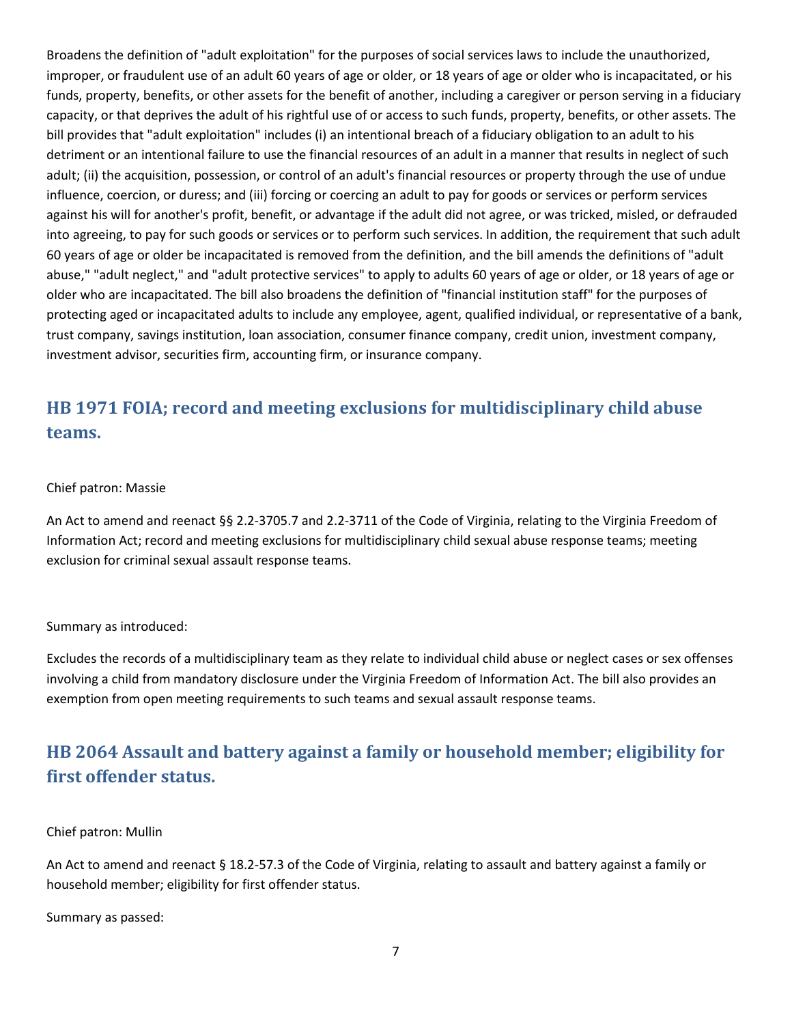Broadens the definition of "adult exploitation" for the purposes of social services laws to include the unauthorized, improper, or fraudulent use of an adult 60 years of age or older, or 18 years of age or older who is incapacitated, or his funds, property, benefits, or other assets for the benefit of another, including a caregiver or person serving in a fiduciary capacity, or that deprives the adult of his rightful use of or access to such funds, property, benefits, or other assets. The bill provides that "adult exploitation" includes (i) an intentional breach of a fiduciary obligation to an adult to his detriment or an intentional failure to use the financial resources of an adult in a manner that results in neglect of such adult; (ii) the acquisition, possession, or control of an adult's financial resources or property through the use of undue influence, coercion, or duress; and (iii) forcing or coercing an adult to pay for goods or services or perform services against his will for another's profit, benefit, or advantage if the adult did not agree, or was tricked, misled, or defrauded into agreeing, to pay for such goods or services or to perform such services. In addition, the requirement that such adult 60 years of age or older be incapacitated is removed from the definition, and the bill amends the definitions of "adult abuse," "adult neglect," and "adult protective services" to apply to adults 60 years of age or older, or 18 years of age or older who are incapacitated. The bill also broadens the definition of "financial institution staff" for the purposes of protecting aged or incapacitated adults to include any employee, agent, qualified individual, or representative of a bank, trust company, savings institution, loan association, consumer finance company, credit union, investment company, investment advisor, securities firm, accounting firm, or insurance company.

## <span id="page-6-0"></span>**HB 1971 FOIA; record and meeting exclusions for multidisciplinary child abuse teams.**

### Chief patron: Massie

An Act to amend and reenact §§ 2.2-3705.7 and 2.2-3711 of the Code of Virginia, relating to the Virginia Freedom of Information Act; record and meeting exclusions for multidisciplinary child sexual abuse response teams; meeting exclusion for criminal sexual assault response teams.

#### Summary as introduced:

Excludes the records of a multidisciplinary team as they relate to individual child abuse or neglect cases or sex offenses involving a child from mandatory disclosure under the Virginia Freedom of Information Act. The bill also provides an exemption from open meeting requirements to such teams and sexual assault response teams.

## <span id="page-6-1"></span>**HB 2064 Assault and battery against a family or household member; eligibility for first offender status.**

#### Chief patron: Mullin

An Act to amend and reenact § 18.2-57.3 of the Code of Virginia, relating to assault and battery against a family or household member; eligibility for first offender status.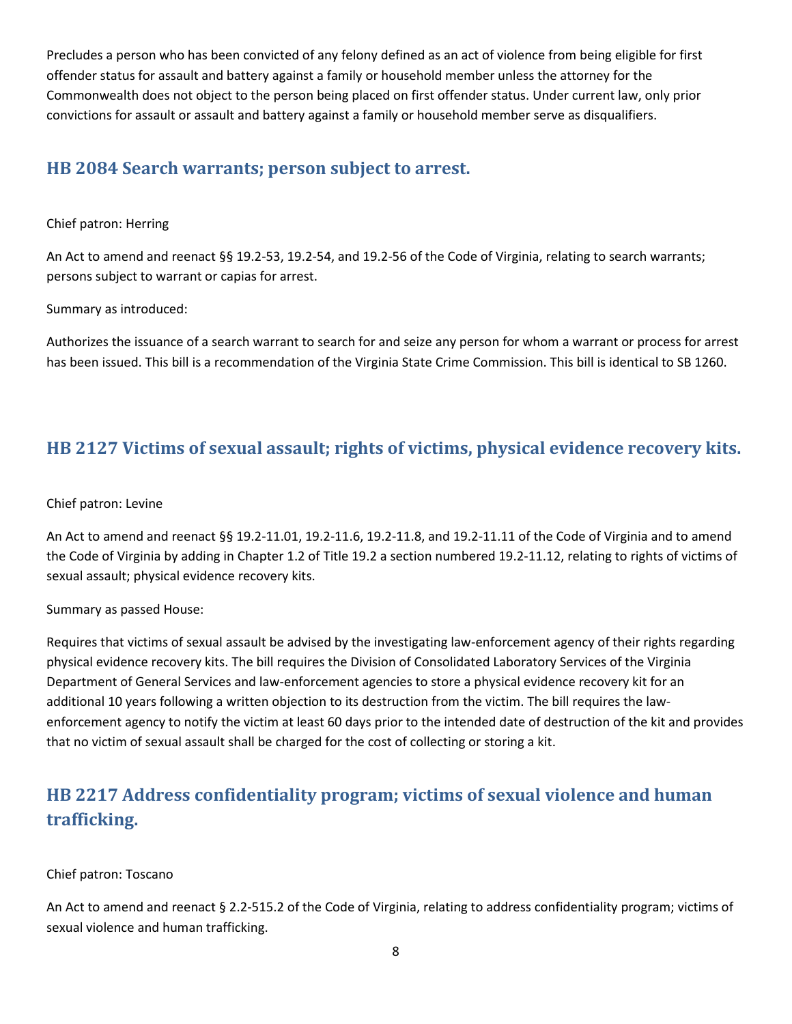Precludes a person who has been convicted of any felony defined as an act of violence from being eligible for first offender status for assault and battery against a family or household member unless the attorney for the Commonwealth does not object to the person being placed on first offender status. Under current law, only prior convictions for assault or assault and battery against a family or household member serve as disqualifiers.

### <span id="page-7-0"></span>**HB 2084 Search warrants; person subject to arrest.**

### Chief patron: Herring

An Act to amend and reenact §§ 19.2-53, 19.2-54, and 19.2-56 of the Code of Virginia, relating to search warrants; persons subject to warrant or capias for arrest.

Summary as introduced:

Authorizes the issuance of a search warrant to search for and seize any person for whom a warrant or process for arrest has been issued. This bill is a recommendation of the Virginia State Crime Commission. This bill is identical to SB 1260.

### <span id="page-7-1"></span>**HB 2127 Victims of sexual assault; rights of victims, physical evidence recovery kits.**

### Chief patron: Levine

An Act to amend and reenact §§ 19.2-11.01, 19.2-11.6, 19.2-11.8, and 19.2-11.11 of the Code of Virginia and to amend the Code of Virginia by adding in Chapter 1.2 of Title 19.2 a section numbered 19.2-11.12, relating to rights of victims of sexual assault; physical evidence recovery kits.

Summary as passed House:

Requires that victims of sexual assault be advised by the investigating law-enforcement agency of their rights regarding physical evidence recovery kits. The bill requires the Division of Consolidated Laboratory Services of the Virginia Department of General Services and law-enforcement agencies to store a physical evidence recovery kit for an additional 10 years following a written objection to its destruction from the victim. The bill requires the lawenforcement agency to notify the victim at least 60 days prior to the intended date of destruction of the kit and provides that no victim of sexual assault shall be charged for the cost of collecting or storing a kit.

## <span id="page-7-2"></span>**HB 2217 Address confidentiality program; victims of sexual violence and human trafficking.**

### Chief patron: Toscano

An Act to amend and reenact § 2.2-515.2 of the Code of Virginia, relating to address confidentiality program; victims of sexual violence and human trafficking.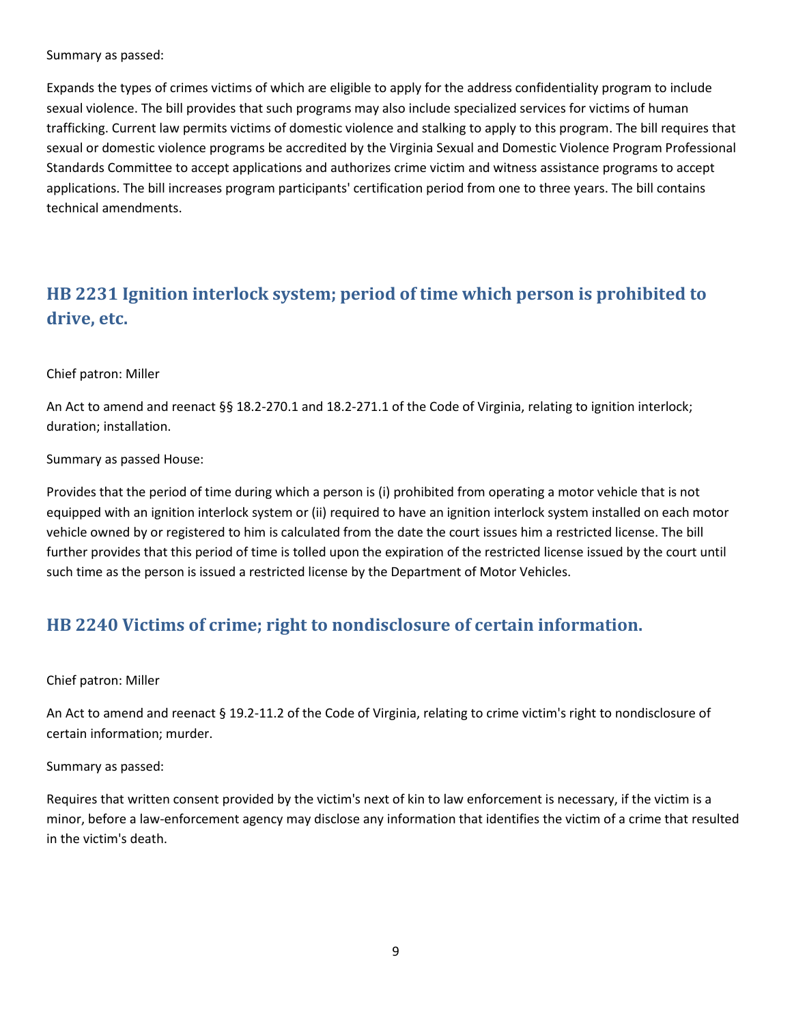Summary as passed:

Expands the types of crimes victims of which are eligible to apply for the address confidentiality program to include sexual violence. The bill provides that such programs may also include specialized services for victims of human trafficking. Current law permits victims of domestic violence and stalking to apply to this program. The bill requires that sexual or domestic violence programs be accredited by the Virginia Sexual and Domestic Violence Program Professional Standards Committee to accept applications and authorizes crime victim and witness assistance programs to accept applications. The bill increases program participants' certification period from one to three years. The bill contains technical amendments.

## <span id="page-8-0"></span>**HB 2231 Ignition interlock system; period of time which person is prohibited to drive, etc.**

### Chief patron: Miller

An Act to amend and reenact §§ 18.2-270.1 and 18.2-271.1 of the Code of Virginia, relating to ignition interlock; duration; installation.

Summary as passed House:

Provides that the period of time during which a person is (i) prohibited from operating a motor vehicle that is not equipped with an ignition interlock system or (ii) required to have an ignition interlock system installed on each motor vehicle owned by or registered to him is calculated from the date the court issues him a restricted license. The bill further provides that this period of time is tolled upon the expiration of the restricted license issued by the court until such time as the person is issued a restricted license by the Department of Motor Vehicles.

### <span id="page-8-1"></span>**HB 2240 Victims of crime; right to nondisclosure of certain information.**

Chief patron: Miller

An Act to amend and reenact § 19.2-11.2 of the Code of Virginia, relating to crime victim's right to nondisclosure of certain information; murder.

Summary as passed:

Requires that written consent provided by the victim's next of kin to law enforcement is necessary, if the victim is a minor, before a law-enforcement agency may disclose any information that identifies the victim of a crime that resulted in the victim's death.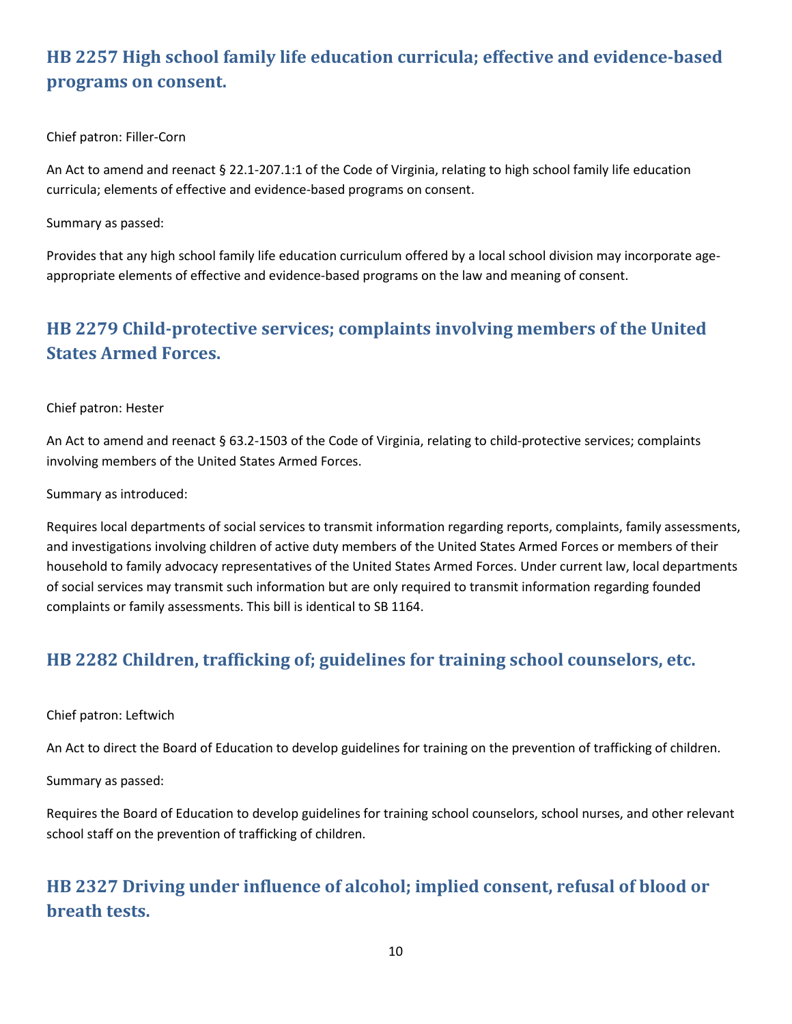## <span id="page-9-0"></span>**HB 2257 High school family life education curricula; effective and evidence-based programs on consent.**

Chief patron: Filler-Corn

An Act to amend and reenact § 22.1-207.1:1 of the Code of Virginia, relating to high school family life education curricula; elements of effective and evidence-based programs on consent.

Summary as passed:

Provides that any high school family life education curriculum offered by a local school division may incorporate ageappropriate elements of effective and evidence-based programs on the law and meaning of consent.

## <span id="page-9-1"></span>**HB 2279 Child-protective services; complaints involving members of the United States Armed Forces.**

Chief patron: Hester

An Act to amend and reenact § 63.2-1503 of the Code of Virginia, relating to child-protective services; complaints involving members of the United States Armed Forces.

Summary as introduced:

Requires local departments of social services to transmit information regarding reports, complaints, family assessments, and investigations involving children of active duty members of the United States Armed Forces or members of their household to family advocacy representatives of the United States Armed Forces. Under current law, local departments of social services may transmit such information but are only required to transmit information regarding founded complaints or family assessments. This bill is identical to SB 1164.

## <span id="page-9-2"></span>**HB 2282 Children, trafficking of; guidelines for training school counselors, etc.**

### Chief patron: Leftwich

An Act to direct the Board of Education to develop guidelines for training on the prevention of trafficking of children.

Summary as passed:

Requires the Board of Education to develop guidelines for training school counselors, school nurses, and other relevant school staff on the prevention of trafficking of children.

## <span id="page-9-3"></span>**HB 2327 Driving under influence of alcohol; implied consent, refusal of blood or breath tests.**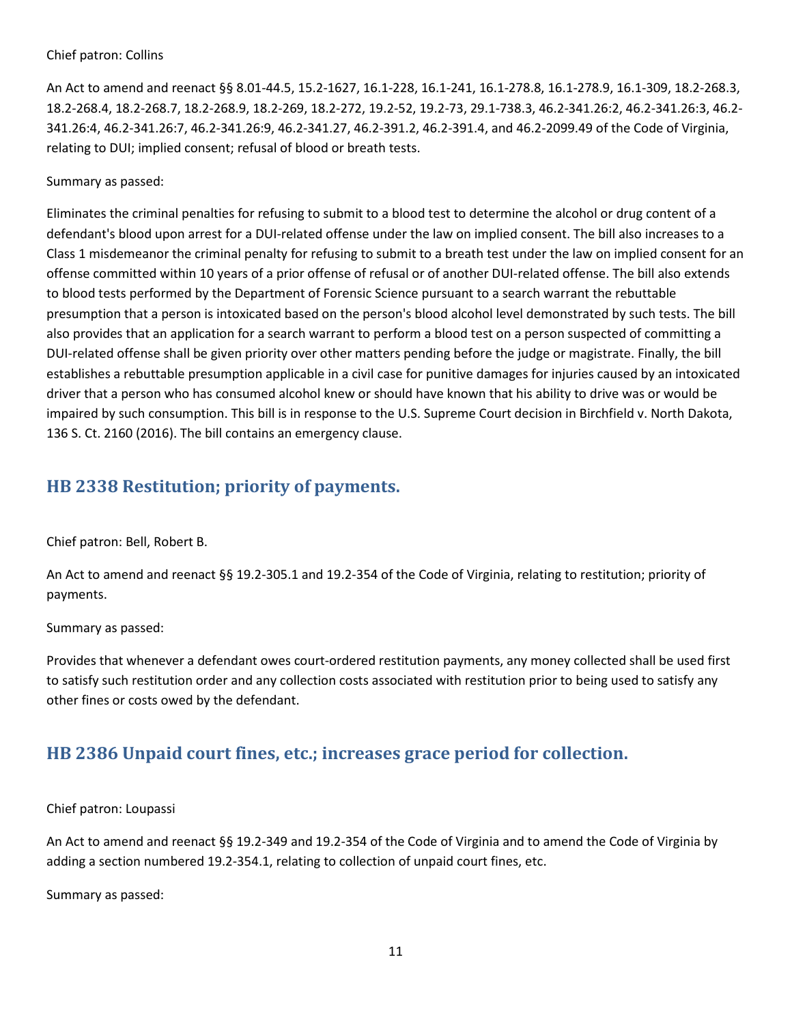#### Chief patron: Collins

An Act to amend and reenact §§ 8.01-44.5, 15.2-1627, 16.1-228, 16.1-241, 16.1-278.8, 16.1-278.9, 16.1-309, 18.2-268.3, 18.2-268.4, 18.2-268.7, 18.2-268.9, 18.2-269, 18.2-272, 19.2-52, 19.2-73, 29.1-738.3, 46.2-341.26:2, 46.2-341.26:3, 46.2- 341.26:4, 46.2-341.26:7, 46.2-341.26:9, 46.2-341.27, 46.2-391.2, 46.2-391.4, and 46.2-2099.49 of the Code of Virginia, relating to DUI; implied consent; refusal of blood or breath tests.

#### Summary as passed:

Eliminates the criminal penalties for refusing to submit to a blood test to determine the alcohol or drug content of a defendant's blood upon arrest for a DUI-related offense under the law on implied consent. The bill also increases to a Class 1 misdemeanor the criminal penalty for refusing to submit to a breath test under the law on implied consent for an offense committed within 10 years of a prior offense of refusal or of another DUI-related offense. The bill also extends to blood tests performed by the Department of Forensic Science pursuant to a search warrant the rebuttable presumption that a person is intoxicated based on the person's blood alcohol level demonstrated by such tests. The bill also provides that an application for a search warrant to perform a blood test on a person suspected of committing a DUI-related offense shall be given priority over other matters pending before the judge or magistrate. Finally, the bill establishes a rebuttable presumption applicable in a civil case for punitive damages for injuries caused by an intoxicated driver that a person who has consumed alcohol knew or should have known that his ability to drive was or would be impaired by such consumption. This bill is in response to the U.S. Supreme Court decision in Birchfield v. North Dakota, 136 S. Ct. 2160 (2016). The bill contains an emergency clause.

### <span id="page-10-0"></span>**HB 2338 Restitution; priority of payments.**

Chief patron: Bell, Robert B.

An Act to amend and reenact §§ 19.2-305.1 and 19.2-354 of the Code of Virginia, relating to restitution; priority of payments.

Summary as passed:

Provides that whenever a defendant owes court-ordered restitution payments, any money collected shall be used first to satisfy such restitution order and any collection costs associated with restitution prior to being used to satisfy any other fines or costs owed by the defendant.

### <span id="page-10-1"></span>**HB 2386 Unpaid court fines, etc.; increases grace period for collection.**

#### Chief patron: Loupassi

An Act to amend and reenact §§ 19.2-349 and 19.2-354 of the Code of Virginia and to amend the Code of Virginia by adding a section numbered 19.2-354.1, relating to collection of unpaid court fines, etc.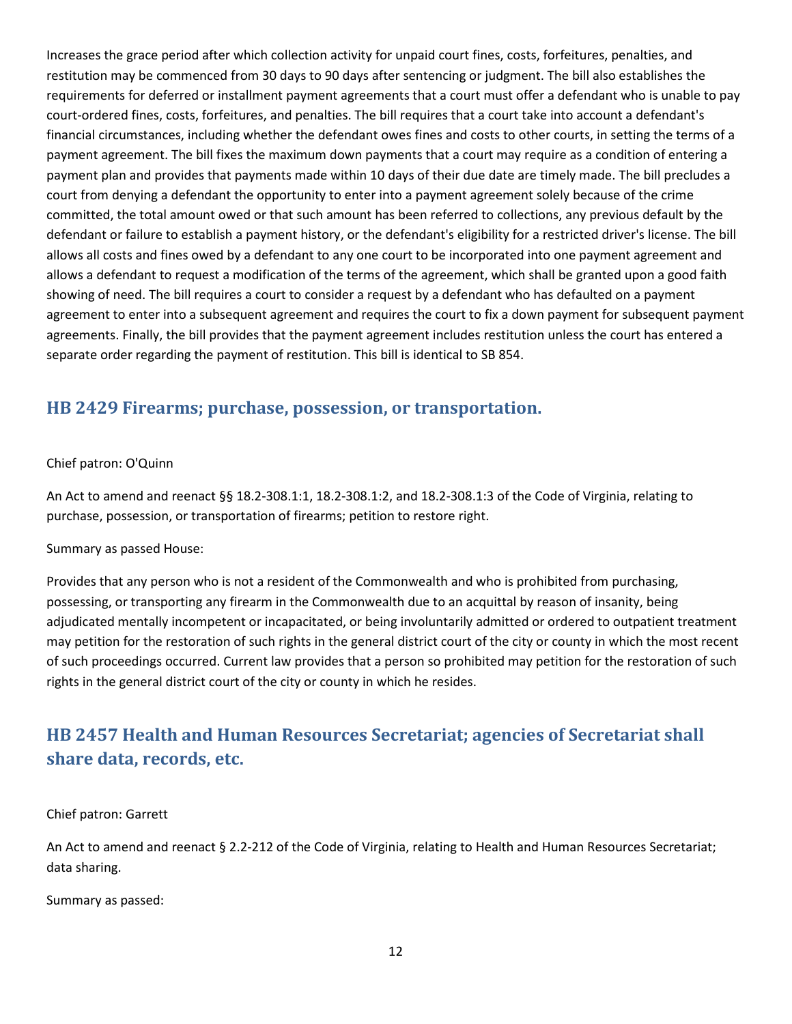Increases the grace period after which collection activity for unpaid court fines, costs, forfeitures, penalties, and restitution may be commenced from 30 days to 90 days after sentencing or judgment. The bill also establishes the requirements for deferred or installment payment agreements that a court must offer a defendant who is unable to pay court-ordered fines, costs, forfeitures, and penalties. The bill requires that a court take into account a defendant's financial circumstances, including whether the defendant owes fines and costs to other courts, in setting the terms of a payment agreement. The bill fixes the maximum down payments that a court may require as a condition of entering a payment plan and provides that payments made within 10 days of their due date are timely made. The bill precludes a court from denying a defendant the opportunity to enter into a payment agreement solely because of the crime committed, the total amount owed or that such amount has been referred to collections, any previous default by the defendant or failure to establish a payment history, or the defendant's eligibility for a restricted driver's license. The bill allows all costs and fines owed by a defendant to any one court to be incorporated into one payment agreement and allows a defendant to request a modification of the terms of the agreement, which shall be granted upon a good faith showing of need. The bill requires a court to consider a request by a defendant who has defaulted on a payment agreement to enter into a subsequent agreement and requires the court to fix a down payment for subsequent payment agreements. Finally, the bill provides that the payment agreement includes restitution unless the court has entered a separate order regarding the payment of restitution. This bill is identical to SB 854.

### <span id="page-11-0"></span>**HB 2429 Firearms; purchase, possession, or transportation.**

### Chief patron: O'Quinn

An Act to amend and reenact §§ 18.2-308.1:1, 18.2-308.1:2, and 18.2-308.1:3 of the Code of Virginia, relating to purchase, possession, or transportation of firearms; petition to restore right.

### Summary as passed House:

Provides that any person who is not a resident of the Commonwealth and who is prohibited from purchasing, possessing, or transporting any firearm in the Commonwealth due to an acquittal by reason of insanity, being adjudicated mentally incompetent or incapacitated, or being involuntarily admitted or ordered to outpatient treatment may petition for the restoration of such rights in the general district court of the city or county in which the most recent of such proceedings occurred. Current law provides that a person so prohibited may petition for the restoration of such rights in the general district court of the city or county in which he resides.

## <span id="page-11-1"></span>**HB 2457 Health and Human Resources Secretariat; agencies of Secretariat shall share data, records, etc.**

#### Chief patron: Garrett

An Act to amend and reenact § 2.2-212 of the Code of Virginia, relating to Health and Human Resources Secretariat; data sharing.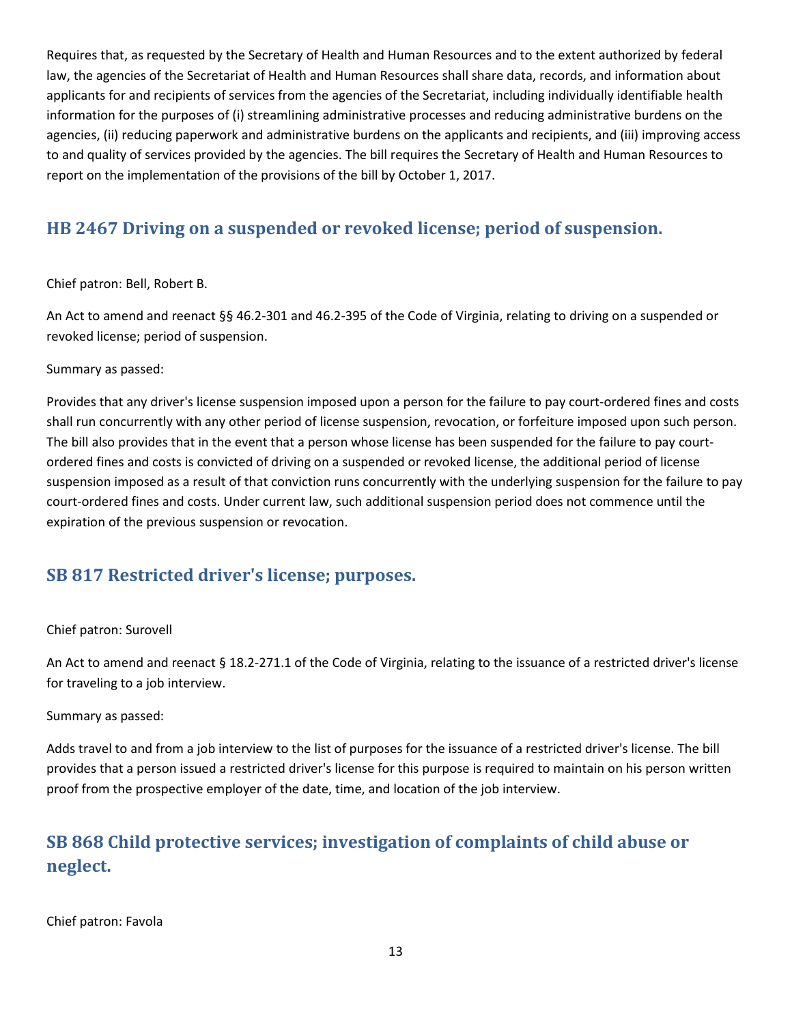Requires that, as requested by the Secretary of Health and Human Resources and to the extent authorized by federal law, the agencies of the Secretariat of Health and Human Resources shall share data, records, and information about applicants for and recipients of services from the agencies of the Secretariat, including individually identifiable health information for the purposes of (i) streamlining administrative processes and reducing administrative burdens on the agencies, (ii) reducing paperwork and administrative burdens on the applicants and recipients, and (iii) improving access to and quality of services provided by the agencies. The bill requires the Secretary of Health and Human Resources to report on the implementation of the provisions of the bill by October 1, 2017.

## <span id="page-12-0"></span>**HB 2467 Driving on a suspended or revoked license; period of suspension.**

Chief patron: Bell, Robert B.

An Act to amend and reenact §§ 46.2-301 and 46.2-395 of the Code of Virginia, relating to driving on a suspended or revoked license; period of suspension.

Summary as passed:

Provides that any driver's license suspension imposed upon a person for the failure to pay court-ordered fines and costs shall run concurrently with any other period of license suspension, revocation, or forfeiture imposed upon such person. The bill also provides that in the event that a person whose license has been suspended for the failure to pay courtordered fines and costs is convicted of driving on a suspended or revoked license, the additional period of license suspension imposed as a result of that conviction runs concurrently with the underlying suspension for the failure to pay court-ordered fines and costs. Under current law, such additional suspension period does not commence until the expiration of the previous suspension or revocation.

### <span id="page-12-1"></span>**SB 817 Restricted driver's license; purposes.**

### Chief patron: Surovell

An Act to amend and reenact § 18.2-271.1 of the Code of Virginia, relating to the issuance of a restricted driver's license for traveling to a job interview.

Summary as passed:

Adds travel to and from a job interview to the list of purposes for the issuance of a restricted driver's license. The bill provides that a person issued a restricted driver's license for this purpose is required to maintain on his person written proof from the prospective employer of the date, time, and location of the job interview.

## <span id="page-12-2"></span>**SB 868 Child protective services; investigation of complaints of child abuse or neglect.**

Chief patron: Favola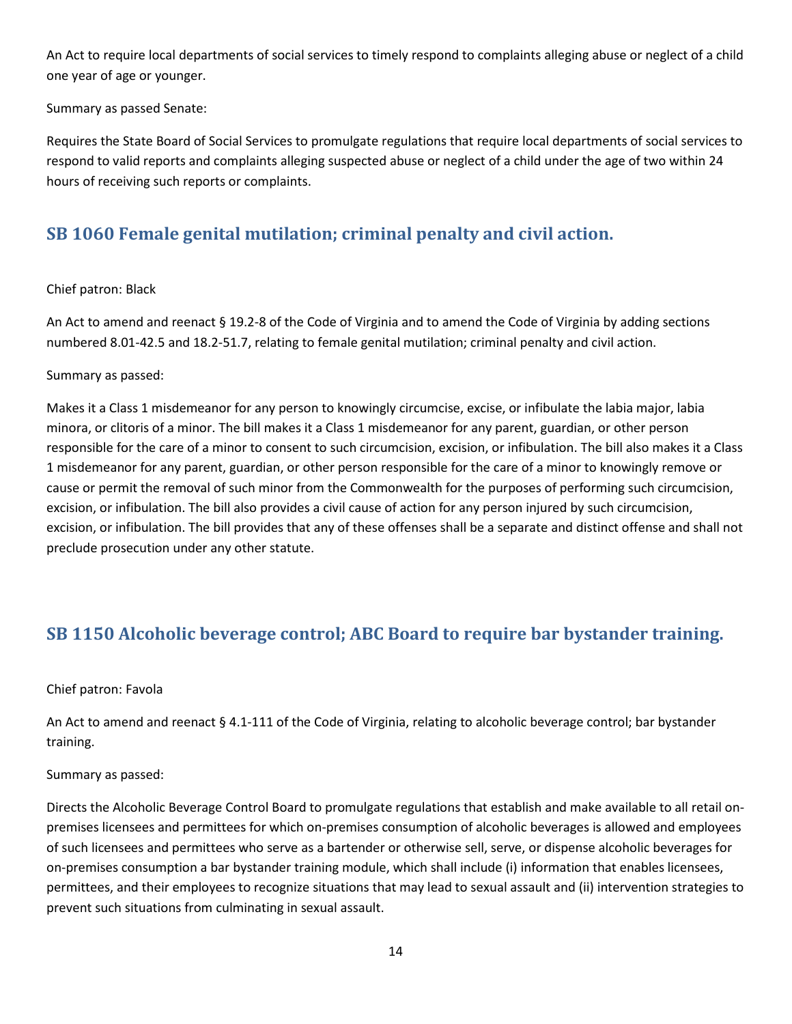An Act to require local departments of social services to timely respond to complaints alleging abuse or neglect of a child one year of age or younger.

Summary as passed Senate:

Requires the State Board of Social Services to promulgate regulations that require local departments of social services to respond to valid reports and complaints alleging suspected abuse or neglect of a child under the age of two within 24 hours of receiving such reports or complaints.

## <span id="page-13-0"></span>**SB 1060 Female genital mutilation; criminal penalty and civil action.**

#### Chief patron: Black

An Act to amend and reenact § 19.2-8 of the Code of Virginia and to amend the Code of Virginia by adding sections numbered 8.01-42.5 and 18.2-51.7, relating to female genital mutilation; criminal penalty and civil action.

#### Summary as passed:

Makes it a Class 1 misdemeanor for any person to knowingly circumcise, excise, or infibulate the labia major, labia minora, or clitoris of a minor. The bill makes it a Class 1 misdemeanor for any parent, guardian, or other person responsible for the care of a minor to consent to such circumcision, excision, or infibulation. The bill also makes it a Class 1 misdemeanor for any parent, guardian, or other person responsible for the care of a minor to knowingly remove or cause or permit the removal of such minor from the Commonwealth for the purposes of performing such circumcision, excision, or infibulation. The bill also provides a civil cause of action for any person injured by such circumcision, excision, or infibulation. The bill provides that any of these offenses shall be a separate and distinct offense and shall not preclude prosecution under any other statute.

### <span id="page-13-1"></span>**SB 1150 Alcoholic beverage control; ABC Board to require bar bystander training.**

#### Chief patron: Favola

An Act to amend and reenact § 4.1-111 of the Code of Virginia, relating to alcoholic beverage control; bar bystander training.

### Summary as passed:

Directs the Alcoholic Beverage Control Board to promulgate regulations that establish and make available to all retail onpremises licensees and permittees for which on-premises consumption of alcoholic beverages is allowed and employees of such licensees and permittees who serve as a bartender or otherwise sell, serve, or dispense alcoholic beverages for on-premises consumption a bar bystander training module, which shall include (i) information that enables licensees, permittees, and their employees to recognize situations that may lead to sexual assault and (ii) intervention strategies to prevent such situations from culminating in sexual assault.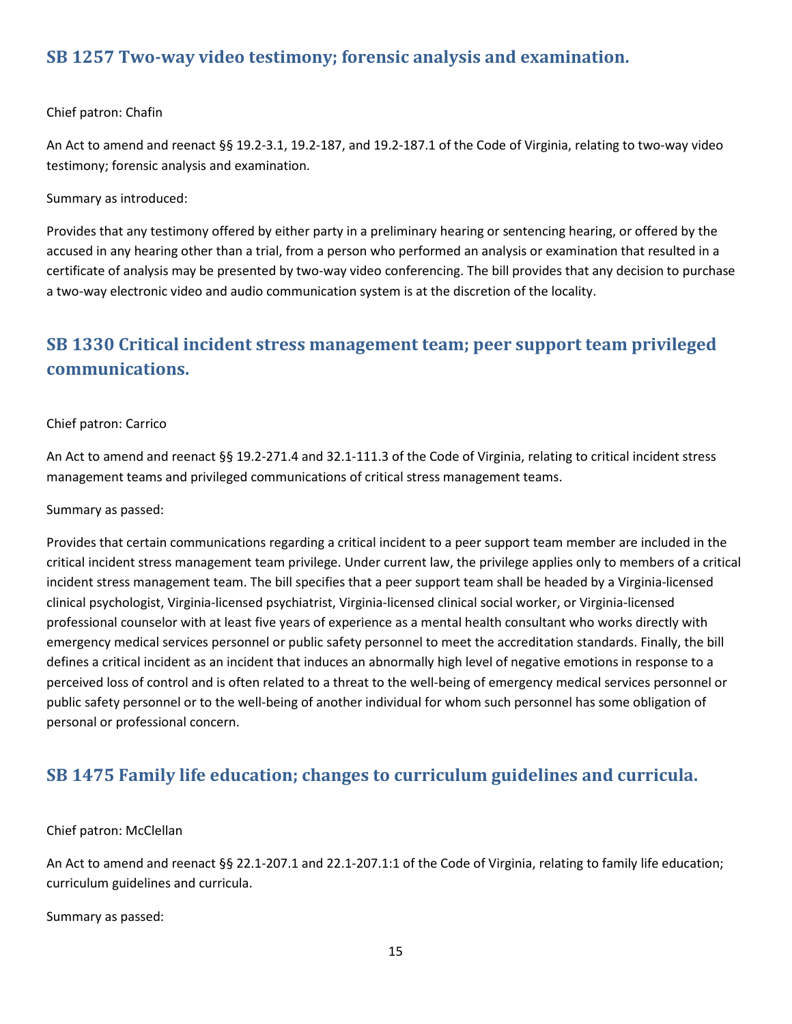### <span id="page-14-0"></span>**SB 1257 Two-way video testimony; forensic analysis and examination.**

### Chief patron: Chafin

An Act to amend and reenact §§ 19.2-3.1, 19.2-187, and 19.2-187.1 of the Code of Virginia, relating to two-way video testimony; forensic analysis and examination.

Summary as introduced:

Provides that any testimony offered by either party in a preliminary hearing or sentencing hearing, or offered by the accused in any hearing other than a trial, from a person who performed an analysis or examination that resulted in a certificate of analysis may be presented by two-way video conferencing. The bill provides that any decision to purchase a two-way electronic video and audio communication system is at the discretion of the locality.

## <span id="page-14-1"></span>**SB 1330 Critical incident stress management team; peer support team privileged communications.**

### Chief patron: Carrico

An Act to amend and reenact §§ 19.2-271.4 and 32.1-111.3 of the Code of Virginia, relating to critical incident stress management teams and privileged communications of critical stress management teams.

### Summary as passed:

Provides that certain communications regarding a critical incident to a peer support team member are included in the critical incident stress management team privilege. Under current law, the privilege applies only to members of a critical incident stress management team. The bill specifies that a peer support team shall be headed by a Virginia-licensed clinical psychologist, Virginia-licensed psychiatrist, Virginia-licensed clinical social worker, or Virginia-licensed professional counselor with at least five years of experience as a mental health consultant who works directly with emergency medical services personnel or public safety personnel to meet the accreditation standards. Finally, the bill defines a critical incident as an incident that induces an abnormally high level of negative emotions in response to a perceived loss of control and is often related to a threat to the well-being of emergency medical services personnel or public safety personnel or to the well-being of another individual for whom such personnel has some obligation of personal or professional concern.

### <span id="page-14-2"></span>**SB 1475 Family life education; changes to curriculum guidelines and curricula.**

### Chief patron: McClellan

An Act to amend and reenact §§ 22.1-207.1 and 22.1-207.1:1 of the Code of Virginia, relating to family life education; curriculum guidelines and curricula.